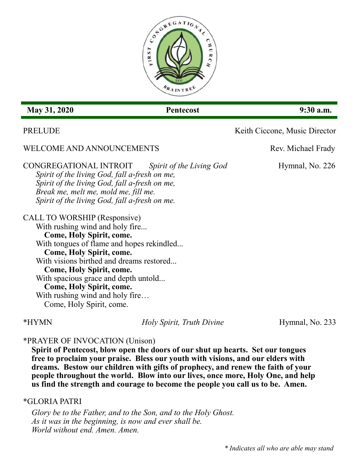

# **May 31, 2020 Pentecost** 9:30 a.m.

# WELCOME AND ANNOUNCEMENTS Rev. Michael Frady

### CONGREGATIONAL INTROIT *Spirit of the Living God* Hymnal, No. 226 *Spirit of the living God, fall a-fresh on me,*

*Spirit of the living God, fall a-fresh on me, Break me, melt me, mold me, fill me. Spirit of the living God, fall a-fresh on me.*

## CALL TO WORSHIP (Responsive)

With rushing wind and holy fire... **Come, Holy Spirit, come.** With tongues of flame and hopes rekindled... **Come, Holy Spirit, come.** With visions birthed and dreams restored... **Come, Holy Spirit, come.** With spacious grace and depth untold... **Come, Holy Spirit, come.** With rushing wind and holy fire... Come, Holy Spirit, come.

\*HYMN *Holy Spirit, Truth Divine* Hymnal, No. 233

# \*PRAYER OF INVOCATION (Unison)

**Spirit of Pentecost, blow open the doors of our shut up hearts. Set our tongues free to proclaim your praise. Bless our youth with visions, and our elders with dreams. Bestow our children with gifts of prophecy, and renew the faith of your people throughout the world. Blow into our lives, once more, Holy One, and help us find the strength and courage to become the people you call us to be. Amen.**

## \*GLORIA PATRI

*Glory be to the Father, and to the Son, and to the Holy Ghost. As it was in the beginning, is now and ever shall be. World without end. Amen. Amen.*

PRELUDE Keith Ciccone, Music Director

*\* Indicates all who are able may stand*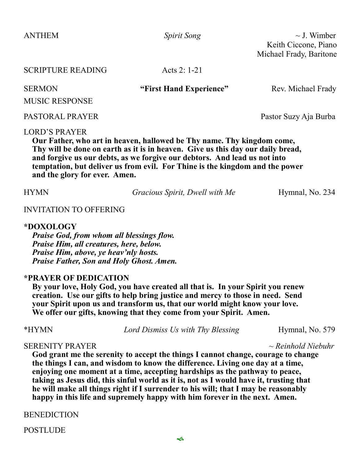ANTHEM *Spirit Song* ~ J. Wimber Keith Ciccone, Piano Michael Frady, Baritone

| <b>SCRIPTURE READING</b> | Acts 2: $1-21$ |  |  |  |  |  |
|--------------------------|----------------|--|--|--|--|--|
| $\alpha$ mni $\alpha$ it |                |  |  |  |  |  |

**SERMON** "First Hand Experience" Rev. Michael Frady

MUSIC RESPONSE

### PASTORAL PRAYER Pastor Suzy Aja Burba

#### LORD'S PRAYER

**Our Father, who art in heaven, hallowed be Thy name. Thy kingdom come, Thy will be done on earth as it is in heaven. Give us this day our daily bread, and forgive us our debts, as we forgive our debtors. And lead us not into temptation, but deliver us from evil. For Thine is the kingdom and the power and the glory for ever. Amen.**

HYMN *Gracious Spirit, Dwell with Me* Hymnal, No. 234

#### INVITATION TO OFFERING

#### **\*DOXOLOGY**

*Praise God, from whom all blessings flow. Praise Him, all creatures, here, below. Praise Him, above, ye heav'nly hosts. Praise Father, Son and Holy Ghost. Amen.*

### **\*PRAYER OF DEDICATION**

**By your love, Holy God, you have created all that is. In your Spirit you renew creation. Use our gifts to help bring justice and mercy to those in need. Send your Spirit upon us and transform us, that our world might know your love. We offer our gifts, knowing that they come from your Spirit. Amen.**

\*HYMN *Lord Dismiss Us with Thy Blessing* Hymnal, No. 579

#### SERENITY PRAYER *~ Reinhold Niebuhr*

**God grant me the serenity to accept the things I cannot change, courage to change the things I can, and wisdom to know the difference. Living one day at a time, enjoying one moment at a time, accepting hardships as the pathway to peace, taking as Jesus did, this sinful world as it is, not as I would have it, trusting that he will make all things right if I surrender to his will; that I may be reasonably happy in this life and supremely happy with him forever in the next. Amen.** 

**BENEDICTION** 

**POSTLUDE**